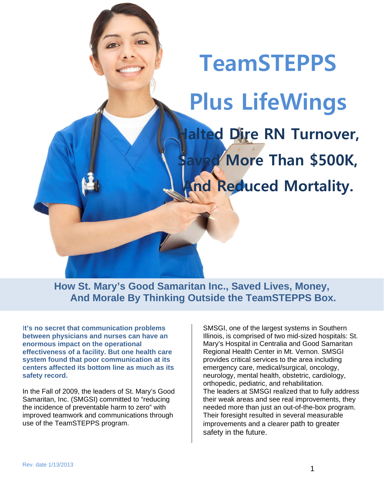**TeamSTEPPS Plus LifeWings alted Dire RN Turnover, More Than \$500K, And Reduced Mortality.** 

**How St. Mary's Good Samaritan Inc., Saved Lives, Money, And Morale By Thinking Outside the TeamSTEPPS Box.** 

I**t's no secret that communication problems between physicians and nurses can have an enormous impact on the operational effectiveness of a facility. But one health care system found that poor communication at its centers affected its bottom line as much as its safety record.** 

In the Fall of 2009, the leaders of St. Mary's Good Samaritan, Inc. (SMGSI) committed to "reducing the incidence of preventable harm to zero" with improved teamwork and communications through use of the TeamSTEPPS program.

SMSGI, one of the largest systems in Southern Illinois, is comprised of two mid-sized hospitals: St. Mary's Hospital in Centralia and Good Samaritan Regional Health Center in Mt. Vernon. SMSGI provides critical services to the area including emergency care, medical/surgical, oncology, neurology, mental health, obstetric, cardiology, orthopedic, pediatric, and rehabilitation. The leaders at SMSGI realized that to fully address their weak areas and see real improvements, they needed more than just an out-of-the-box program. Their foresight resulted in several measurable improvements and a clearer path to greater safety in the future.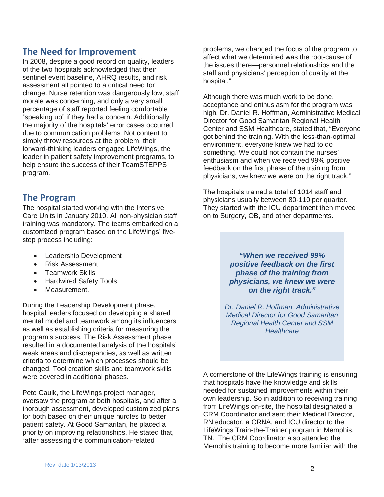# **The Need for Improvement**

In 2008, despite a good record on quality, leaders of the two hospitals acknowledged that their sentinel event baseline, AHRQ results, and risk assessment all pointed to a critical need for change. Nurse retention was dangerously low, staff morale was concerning, and only a very small percentage of staff reported feeling comfortable "speaking up" if they had a concern. Additionally the majority of the hospitals' error cases occurred due to communication problems. Not content to simply throw resources at the problem, their forward-thinking leaders engaged LifeWings, the leader in patient safety improvement programs, to help ensure the success of their TeamSTEPPS program.

# **The Program**

The hospital started working with the Intensive Care Units in January 2010. All non-physician staff training was mandatory. The teams embarked on a customized program based on the LifeWings' fivestep process including:

- Leadership Development
- Risk Assessment
- Teamwork Skills
- Hardwired Safety Tools
- Measurement.

During the Leadership Development phase, hospital leaders focused on developing a shared mental model and teamwork among its influencers as well as establishing criteria for measuring the program's success. The Risk Assessment phase resulted in a documented analysis of the hospitals' weak areas and discrepancies, as well as written criteria to determine which processes should be changed. Tool creation skills and teamwork skills were covered in additional phases.

Pete Caulk, the LifeWings project manager, oversaw the program at both hospitals, and after a thorough assessment, developed customized plans for both based on their unique hurdles to better patient safety. At Good Samaritan, he placed a priority on improving relationships. He stated that, "after assessing the communication-related

problems, we changed the focus of the program to affect what we determined was the root-cause of the issues there—personnel relationships and the staff and physicians' perception of quality at the hospital."

Although there was much work to be done, acceptance and enthusiasm for the program was high. Dr. Daniel R. Hoffman, Administrative Medical Director for Good Samaritan Regional Health Center and SSM Healthcare, stated that, "Everyone got behind the training. With the less-than-optimal environment, everyone knew we had to do something. We could not contain the nurses' enthusiasm and when we received 99% positive feedback on the first phase of the training from physicians, we knew we were on the right track."

The hospitals trained a total of 1014 staff and physicians usually between 80-110 per quarter. They started with the ICU department then moved on to Surgery, OB, and other departments.

> *"When we received 99% positive feedback on the first phase of the training from physicians, we knew we were on the right track."*

*Dr. Daniel R. Hoffman, Administrative Medical Director for Good Samaritan Regional Health Center and SSM Healthcare*

A cornerstone of the LifeWings training is ensuring that hospitals have the knowledge and skills needed for sustained improvements within their own leadership. So in addition to receiving training from LifeWings on-site, the hospital designated a CRM Coordinator and sent their Medical Director, RN educator, a CRNA, and ICU director to the LifeWings Train-the-Trainer program in Memphis, TN. The CRM Coordinator also attended the Memphis training to become more familiar with the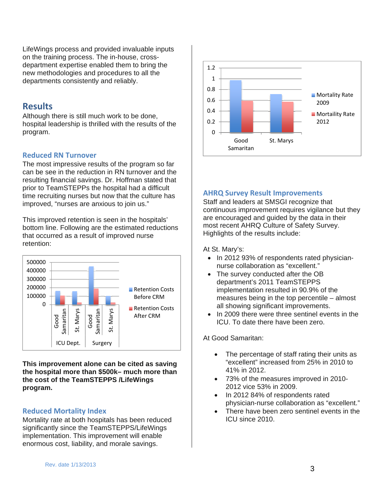LifeWings process and provided invaluable inputs on the training process. The in-house, crossdepartment expertise enabled them to bring the new methodologies and procedures to all the departments consistently and reliably.

## **Results**

Although there is still much work to be done, hospital leadership is thrilled with the results of the program.

### **Reduced RN Turnover**

The most impressive results of the program so far can be see in the reduction in RN turnover and the resulting financial savings. Dr. Hoffman stated that prior to TeamSTEPPs the hospital had a difficult time recruiting nurses but now that the culture has improved, "nurses are anxious to join us."

This improved retention is seen in the hospitals' bottom line. Following are the estimated reductions that occurred as a result of improved nurse retention:



**This improvement alone can be cited as saving the hospital more than \$500k– much more than the cost of the TeamSTEPPS /LifeWings program.** 

### **Reduced Mortality Index**

Mortality rate at both hospitals has been reduced significantly since the TeamSTEPPS/LifeWings implementation. This improvement will enable enormous cost, liability, and morale savings.



### **AHRQ Survey Result Improvements**

Staff and leaders at SMSGI recognize that continuous improvement requires vigilance but they are encouraged and guided by the data in their most recent AHRQ Culture of Safety Survey. Highlights of the results include:

At St. Mary's:

- In 2012 93% of respondents rated physiciannurse collaboration as "excellent."
- The survey conducted after the OB department's 2011 TeamSTEPPS implementation resulted in 90.9% of the measures being in the top percentile – almost all showing significant improvements.
- In 2009 there were three sentinel events in the ICU. To date there have been zero.

At Good Samaritan:

- The percentage of staff rating their units as "excellent" increased from 25% in 2010 to 41% in 2012.
- 73% of the measures improved in 2010- 2012 vice 53% in 2009.
- In 2012 84% of respondents rated physician-nurse collaboration as "excellent."
- There have been zero sentinel events in the ICU since 2010.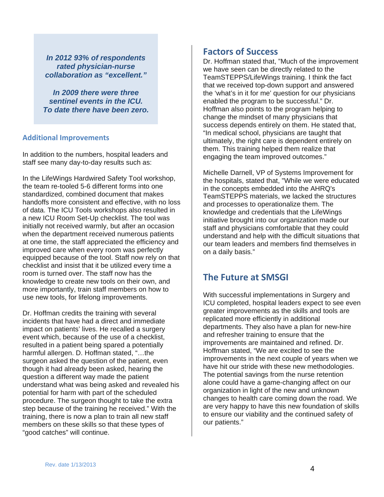*In 2012 93% of respondents rated physician-nurse collaboration as "excellent."* 

*In 2009 there were three sentinel events in the ICU. To date there have been zero.* 

#### **Additional Improvements**

In addition to the numbers, hospital leaders and staff see many day-to-day results such as:

In the LifeWings Hardwired Safety Tool workshop, the team re-tooled 5-6 different forms into one standardized, combined document that makes handoffs more consistent and effective, with no loss of data. The ICU Tools workshops also resulted in a new ICU Room Set-Up checklist. The tool was initially not received warmly, but after an occasion when the department received numerous patients at one time, the staff appreciated the efficiency and improved care when every room was perfectly equipped because of the tool. Staff now rely on that checklist and insist that it be utilized every time a room is turned over. The staff now has the knowledge to create new tools on their own, and more importantly, train staff members on how to use new tools, for lifelong improvements.

Dr. Hoffman credits the training with several incidents that have had a direct and immediate impact on patients' lives. He recalled a surgery event which, because of the use of a checklist, resulted in a patient being spared a potentially harmful allergen. D. Hoffman stated, "…the surgeon asked the question of the patient, even though it had already been asked, hearing the question a different way made the patient understand what was being asked and revealed his potential for harm with part of the scheduled procedure. The surgeon thought to take the extra step because of the training he received." With the training, there is now a plan to train all new staff members on these skills so that these types of "good catches" will continue.

# **Factors of Success**

Dr. Hoffman stated that, "Much of the improvement we have seen can be directly related to the TeamSTEPPS/LifeWings training. I think the fact that we received top-down support and answered the 'what's in it for me' question for our physicians enabled the program to be successful." Dr. Hoffman also points to the program helping to change the mindset of many physicians that success depends entirely on them. He stated that, "In medical school, physicians are taught that ultimately, the right care is dependent entirely on them. This training helped them realize that engaging the team improved outcomes."

Michelle Darnell, VP of Systems Improvement for the hospitals, stated that, "While we were educated in the concepts embedded into the AHRQ's TeamSTEPPS materials, we lacked the structures and processes to operationalize them. The knowledge and credentials that the LifeWings initiative brought into our organization made our staff and physicians comfortable that they could understand and help with the difficult situations that our team leaders and members find themselves in on a daily basis."

# **The Future at SMSGI**

With successful implementations in Surgery and ICU completed, hospital leaders expect to see even greater improvements as the skills and tools are replicated more efficiently in additional departments. They also have a plan for new-hire and refresher training to ensure that the improvements are maintained and refined. Dr. Hoffman stated, "We are excited to see the improvements in the next couple of years when we have hit our stride with these new methodologies. The potential savings from the nurse retention alone could have a game-changing affect on our organization in light of the new and unknown changes to health care coming down the road. We are very happy to have this new foundation of skills to ensure our viability and the continued safety of our patients."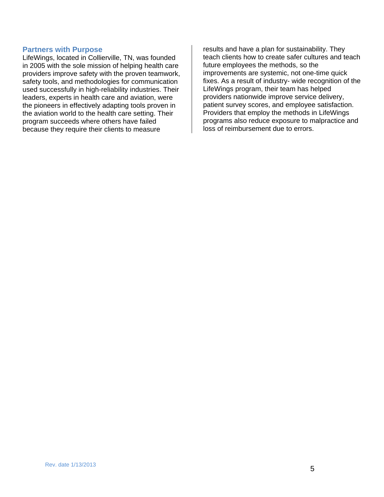#### **Partners with Purpose**

LifeWings, located in Collierville, TN, was founded in 2005 with the sole mission of helping health care providers improve safety with the proven teamwork, safety tools, and methodologies for communication used successfully in high-reliability industries. Their leaders, experts in health care and aviation, were the pioneers in effectively adapting tools proven in the aviation world to the health care setting. Their program succeeds where others have failed because they require their clients to measure

results and have a plan for sustainability. They teach clients how to create safer cultures and teach future employees the methods, so the improvements are systemic, not one-time quick fixes. As a result of industry- wide recognition of the LifeWings program, their team has helped providers nationwide improve service delivery, patient survey scores, and employee satisfaction. Providers that employ the methods in LifeWings programs also reduce exposure to malpractice and loss of reimbursement due to errors.